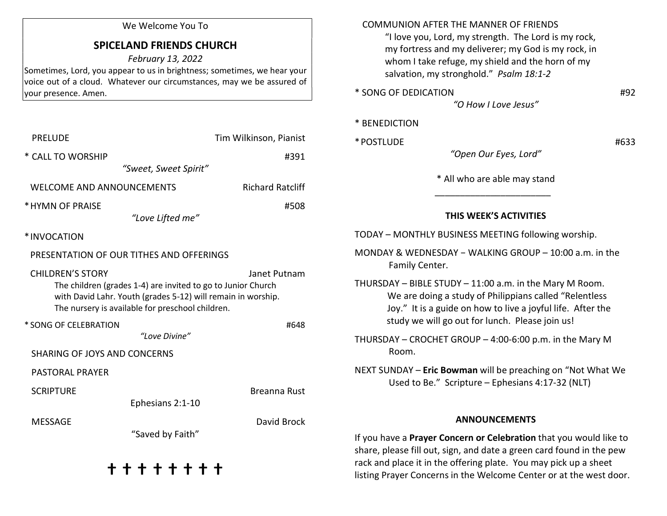### We Welcome You To

# SPICELAND FRIENDS CHURCH

February 13, 2022

Sometimes, Lord, you appear to us in brightness; sometimes, we hear your voice out of a cloud. Whatever our circumstances, may we be assured of your presence. Amen.

| <b>PRELUDE</b>                                                                                                                                                                                                              | Tim Wilkinson, Pianist  |
|-----------------------------------------------------------------------------------------------------------------------------------------------------------------------------------------------------------------------------|-------------------------|
| * CALL TO WORSHIP                                                                                                                                                                                                           | #391                    |
| "Sweet, Sweet Spirit"                                                                                                                                                                                                       |                         |
| <b>WELCOME AND ANNOUNCEMENTS</b>                                                                                                                                                                                            | <b>Richard Ratcliff</b> |
| * HYMN OF PRAISE                                                                                                                                                                                                            | #508                    |
| "Love Lifted me"                                                                                                                                                                                                            |                         |
| *INVOCATION                                                                                                                                                                                                                 |                         |
| PRESENTATION OF OUR TITHES AND OFFERINGS                                                                                                                                                                                    |                         |
| <b>CHILDREN'S STORY</b><br>Janet Putnam<br>The children (grades 1-4) are invited to go to Junior Church<br>with David Lahr. Youth (grades 5-12) will remain in worship.<br>The nursery is available for preschool children. |                         |
| * SONG OF CELEBRATION<br>"Love Divine"                                                                                                                                                                                      | #648                    |
| <b>SHARING OF JOYS AND CONCERNS</b>                                                                                                                                                                                         |                         |
| <b>PASTORAL PRAYER</b>                                                                                                                                                                                                      |                         |
| <b>SCRIPTURE</b>                                                                                                                                                                                                            | Breanna Rust            |
| Ephesians 2:1-10                                                                                                                                                                                                            |                         |
| <b>MESSAGE</b><br>"Saved by Faith"                                                                                                                                                                                          | David Brock             |
| + + + + + + +                                                                                                                                                                                                               |                         |

#### COMMUNION AFTER THE MANNER OF FRIENDS

 "I love you, Lord, my strength. The Lord is my rock, my fortress and my deliverer; my God is my rock, in whom I take refuge, my shield and the horn of my salvation, my stronghold." Psalm 18:1-2

- \* SONG OF DEDICATION #92
	-

"O How I Love Jesus"

### \* BENEDICTION

 $*$  POSTLUDE  $*$   $*$  POSTLUDE

"Open Our Eyes, Lord"

\* All who are able may stand

# THIS WEEK'S ACTIVITIES

TODAY – MONTHLY BUSINESS MEETING following worship.

 $\frac{1}{\sqrt{2}}$  ,  $\frac{1}{\sqrt{2}}$  ,  $\frac{1}{\sqrt{2}}$  ,  $\frac{1}{\sqrt{2}}$  ,  $\frac{1}{\sqrt{2}}$  ,  $\frac{1}{\sqrt{2}}$  ,  $\frac{1}{\sqrt{2}}$  ,  $\frac{1}{\sqrt{2}}$  ,  $\frac{1}{\sqrt{2}}$  ,  $\frac{1}{\sqrt{2}}$  ,  $\frac{1}{\sqrt{2}}$  ,  $\frac{1}{\sqrt{2}}$  ,  $\frac{1}{\sqrt{2}}$  ,  $\frac{1}{\sqrt{2}}$  ,  $\frac{1}{\sqrt{2}}$ 

MONDAY & WEDNESDAY − WALKING GROUP – 10:00 a.m. in the Family Center.

THURSDAY – BIBLE STUDY – 11:00 a.m. in the Mary M Room. We are doing a study of Philippians called "Relentless Joy." It is a guide on how to live a joyful life. After the study we will go out for lunch. Please join us!

THURSDAY – CROCHET GROUP – 4:00-6:00 p.m. in the Mary M Room.

NEXT SUNDAY – Eric Bowman will be preaching on "Not What We Used to Be." Scripture – Ephesians 4:17-32 (NLT)

#### ANNOUNCEMENTS

If you have a Prayer Concern or Celebration that you would like to share, please fill out, sign, and date a green card found in the pew rack and place it in the offering plate. You may pick up a sheet listing Prayer Concerns in the Welcome Center or at the west door.